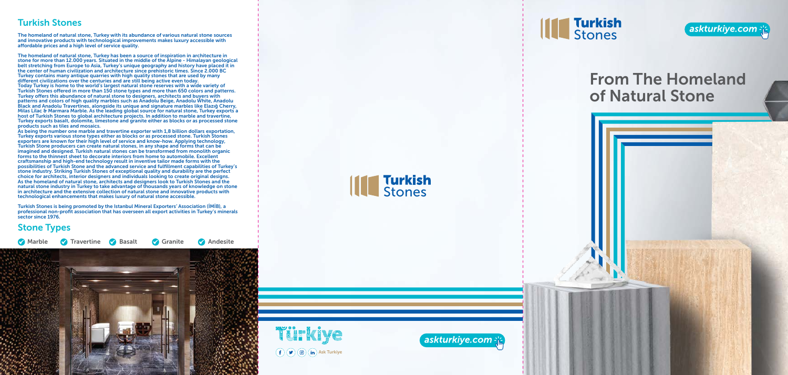# From The Homeland of Natural Stone



The homeland of natural stone, Turkey with its abundance of various natural stone sources and innovative products with technological improvements makes luxury accessible with affordable prices and a high level of service quality.

#### Turkish Stones

The homeland of natural stone, Turkey has been a source of inspiration in architecture in stone for more than 12.000 years. Situated in the middle of the Alpine - Himalayan geological belt stretching from Europe to Asia, Turkey's unique geography and history have placed it in the center of human civilization and architecture since prehistoric times. Since 2.000 BC Turkey contains many antique quarries with high quality stones that are used by many different civilizations over the centuries and are still being active even today. Today Turkey is home to the world's largest natural stone reserves with a wide variety of Turkish Stones offered in more than 150 stone types and more than 650 colors and patterns. Turkey offers this abundance of natural stone to designers, architects and buyers with patterns and colors of high quality marbles such as Anadolu Beige, Anadolu White, Anadolu Black and Anadolu Travertines, alongside its unique and signature marbles like Elazığ Cherry, Milas Lilac & Marmara Marble. As the leading global source for natural stone, Turkey exports a host of Turkish Stones to global architecture projects. In addition to marble and travertine, Turkey exports basalt, dolomite, limestone and granite either as blocks or as processed stone products such as tiles and mosaics.

Turkish Stones is being promoted by the Istanbul Mineral Exporters' Association (İMİB), a professional non-profit association that has overseen all export activities in Turkey's minerals sector since 1976.

As being the number one marble and travertine exporter with 1,8 billion dollars exportation, Turkey exports various stone types either as blocks or as processed stone. Turkish Stones exporters are known for their high level of service and know-how. Applying technology, Turkish Stone producers can create natural stones, in any shape and forms that can be imagined and designed. Turkish natural stones can be transformed from monolith organic forms to the thinnest sheet to decorate interiors from home to automobile. Excellent craftsmanship and high-end technology result in inventive tailor made forms with the possibilities of Turkish Stone and the advanced service and fulfillment capabilities of Turkey's stone industry. Striking Turkish Stones of exceptional quality and durability are the perfect choice for architects, interior designers and individuals looking to create original designs. As the homeland of natural stone, architects and designers look to Turkish Stones and the natural stone industry in Turkey to take advantage of thousands years of knowledge on stone in architecture and the extensive collection of natural stone and innovative products with technological enhancements that makes luxury of natural stone accessible.

### Stone Types

**Marble M** Travertine **M** Basalt **M** Granite M Andesite









askturkiye.com - i